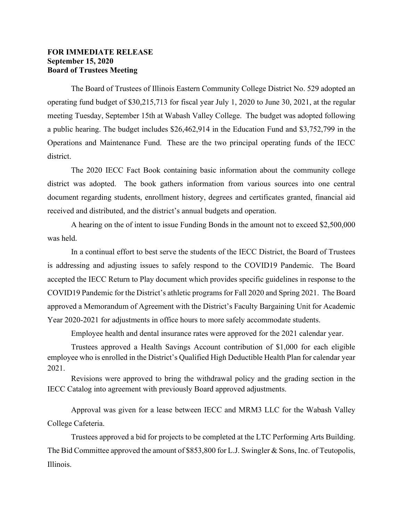## **FOR IMMEDIATE RELEASE September 15, 2020 Board of Trustees Meeting**

The Board of Trustees of Illinois Eastern Community College District No. 529 adopted an operating fund budget of \$30,215,713 for fiscal year July 1, 2020 to June 30, 2021, at the regular meeting Tuesday, September 15th at Wabash Valley College. The budget was adopted following a public hearing. The budget includes \$26,462,914 in the Education Fund and \$3,752,799 in the Operations and Maintenance Fund. These are the two principal operating funds of the IECC district.

The 2020 IECC Fact Book containing basic information about the community college district was adopted. The book gathers information from various sources into one central document regarding students, enrollment history, degrees and certificates granted, financial aid received and distributed, and the district's annual budgets and operation.

A hearing on the of intent to issue Funding Bonds in the amount not to exceed \$2,500,000 was held.

In a continual effort to best serve the students of the IECC District, the Board of Trustees is addressing and adjusting issues to safely respond to the COVID19 Pandemic. The Board accepted the IECC Return to Play document which provides specific guidelines in response to the COVID19 Pandemic for the District's athletic programs for Fall 2020 and Spring 2021. The Board approved a Memorandum of Agreement with the District's Faculty Bargaining Unit for Academic Year 2020-2021 for adjustments in office hours to more safely accommodate students.

Employee health and dental insurance rates were approved for the 2021 calendar year.

Trustees approved a Health Savings Account contribution of \$1,000 for each eligible employee who is enrolled in the District's Qualified High Deductible Health Plan for calendar year 2021.

Revisions were approved to bring the withdrawal policy and the grading section in the IECC Catalog into agreement with previously Board approved adjustments.

Approval was given for a lease between IECC and MRM3 LLC for the Wabash Valley College Cafeteria.

Trustees approved a bid for projects to be completed at the LTC Performing Arts Building. The Bid Committee approved the amount of \$853,800 for L.J. Swingler & Sons, Inc. of Teutopolis, Illinois.